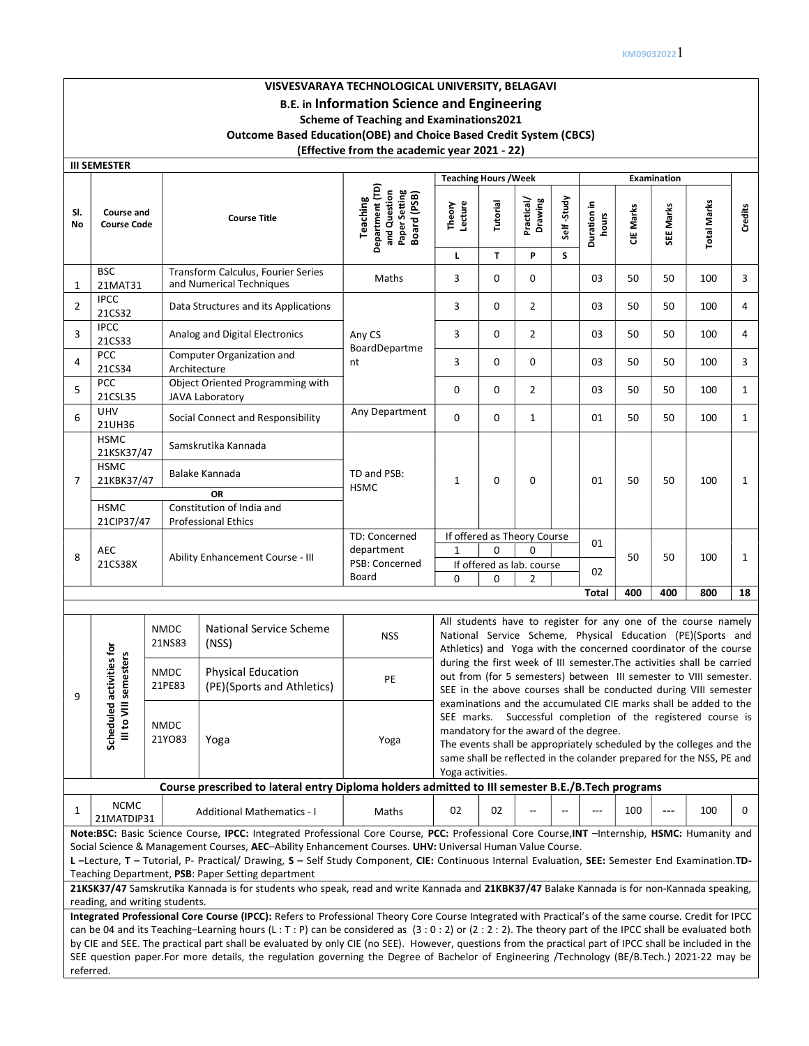# VISVESVARAYA TECHNOLOGICAL UNIVERSITY, BELAGAVI B.E. in Information Science and Engineering Scheme of Teaching and Examinations2021 Outcome Based Education(OBE) and Choice Based Credit System (CBCS) (Effective from the academic year 2021 - 22)

| <b>III SEMESTER</b>                     |                                  |                                  |                                                                                                                                                                                                                                                                                                                                                                                                                                                                                                                                                                                                                    |                                                                             |                                                                                                                                                                                                                                                                                                                                               |          |                             |            |                      |           |           |                                                                                                                                                                                                                 |              |
|-----------------------------------------|----------------------------------|----------------------------------|--------------------------------------------------------------------------------------------------------------------------------------------------------------------------------------------------------------------------------------------------------------------------------------------------------------------------------------------------------------------------------------------------------------------------------------------------------------------------------------------------------------------------------------------------------------------------------------------------------------------|-----------------------------------------------------------------------------|-----------------------------------------------------------------------------------------------------------------------------------------------------------------------------------------------------------------------------------------------------------------------------------------------------------------------------------------------|----------|-----------------------------|------------|----------------------|-----------|-----------|-----------------------------------------------------------------------------------------------------------------------------------------------------------------------------------------------------------------|--------------|
|                                         |                                  |                                  |                                                                                                                                                                                                                                                                                                                                                                                                                                                                                                                                                                                                                    |                                                                             | <b>Teaching Hours / Week</b><br><b>Examination</b>                                                                                                                                                                                                                                                                                            |          |                             |            |                      |           |           |                                                                                                                                                                                                                 |              |
| SI.<br>No                               | Course and<br><b>Course Code</b> |                                  | <b>Course Title</b>                                                                                                                                                                                                                                                                                                                                                                                                                                                                                                                                                                                                | Department (TD)<br>and Question<br>Paper Setting<br>Board (PSB)<br>Teaching | Theory<br>Lecture                                                                                                                                                                                                                                                                                                                             | Tutorial | Practical/<br>Drawing       | Self-Study | Duration in<br>hours | CIE Marks | SEE Marks | <b>Total Marks</b>                                                                                                                                                                                              | Credits      |
| <b>BSC</b>                              |                                  |                                  |                                                                                                                                                                                                                                                                                                                                                                                                                                                                                                                                                                                                                    |                                                                             | L                                                                                                                                                                                                                                                                                                                                             | T.       | P                           | S          |                      |           |           |                                                                                                                                                                                                                 |              |
| 21MAT31<br>1                            |                                  |                                  | Transform Calculus, Fourier Series<br>and Numerical Techniques                                                                                                                                                                                                                                                                                                                                                                                                                                                                                                                                                     | Maths                                                                       | 3                                                                                                                                                                                                                                                                                                                                             | 0        | 0                           |            | 03                   | 50        | 50        | 100                                                                                                                                                                                                             | 3            |
| <b>IPCC</b><br>$\overline{2}$<br>21CS32 |                                  |                                  | Data Structures and its Applications                                                                                                                                                                                                                                                                                                                                                                                                                                                                                                                                                                               |                                                                             | 3                                                                                                                                                                                                                                                                                                                                             | 0        | $\overline{2}$              |            | 03                   | 50        | 50        | 100                                                                                                                                                                                                             | 4            |
| <b>IPCC</b><br>3<br>21CS33              |                                  |                                  | Analog and Digital Electronics                                                                                                                                                                                                                                                                                                                                                                                                                                                                                                                                                                                     | Any CS<br>BoardDepartme                                                     | 3                                                                                                                                                                                                                                                                                                                                             | 0        | $\overline{2}$              |            | 03                   | 50        | 50        | 100                                                                                                                                                                                                             | 4            |
| <b>PCC</b><br>4<br>21CS34               |                                  | Architecture                     | Computer Organization and                                                                                                                                                                                                                                                                                                                                                                                                                                                                                                                                                                                          | nt                                                                          | 3                                                                                                                                                                                                                                                                                                                                             | 0        | 0                           |            | 03                   | 50        | 50        | 100                                                                                                                                                                                                             | 3            |
| PCC<br>5<br>21CSL35                     |                                  |                                  | Object Oriented Programming with<br>JAVA Laboratory                                                                                                                                                                                                                                                                                                                                                                                                                                                                                                                                                                |                                                                             | 0                                                                                                                                                                                                                                                                                                                                             | 0        | $\overline{2}$              |            | 03                   | 50        | 50        | 100                                                                                                                                                                                                             | $\mathbf{1}$ |
| <b>UHV</b><br>6<br>21UH36               |                                  |                                  | Social Connect and Responsibility                                                                                                                                                                                                                                                                                                                                                                                                                                                                                                                                                                                  | Any Department                                                              | 0                                                                                                                                                                                                                                                                                                                                             | 0        | $\mathbf{1}$                |            | 01                   | 50        | 50        | 100                                                                                                                                                                                                             | 1            |
| <b>HSMC</b>                             | 21KSK37/47                       |                                  | Samskrutika Kannada                                                                                                                                                                                                                                                                                                                                                                                                                                                                                                                                                                                                |                                                                             |                                                                                                                                                                                                                                                                                                                                               |          |                             |            |                      |           |           |                                                                                                                                                                                                                 |              |
| <b>HSMC</b><br>$\overline{7}$           | 21KBK37/47                       |                                  | Balake Kannada                                                                                                                                                                                                                                                                                                                                                                                                                                                                                                                                                                                                     | TD and PSB:                                                                 | 1                                                                                                                                                                                                                                                                                                                                             | 0        | 0                           |            | 01                   | 50        | 50        | 100                                                                                                                                                                                                             | 1            |
| <b>HSMC</b>                             |                                  |                                  | <b>OR</b><br>Constitution of India and                                                                                                                                                                                                                                                                                                                                                                                                                                                                                                                                                                             | <b>HSMC</b>                                                                 |                                                                                                                                                                                                                                                                                                                                               |          |                             |            |                      |           |           |                                                                                                                                                                                                                 |              |
|                                         | 21CIP37/47                       |                                  | <b>Professional Ethics</b>                                                                                                                                                                                                                                                                                                                                                                                                                                                                                                                                                                                         | TD: Concerned                                                               |                                                                                                                                                                                                                                                                                                                                               |          | If offered as Theory Course |            |                      |           |           |                                                                                                                                                                                                                 |              |
| AEC                                     |                                  |                                  |                                                                                                                                                                                                                                                                                                                                                                                                                                                                                                                                                                                                                    | department                                                                  | $\mathbf{1}$                                                                                                                                                                                                                                                                                                                                  | $\Omega$ | $\Omega$                    |            | 01                   |           |           |                                                                                                                                                                                                                 |              |
| 8<br>21CS38X                            |                                  | Ability Enhancement Course - III |                                                                                                                                                                                                                                                                                                                                                                                                                                                                                                                                                                                                                    | PSB: Concerned                                                              |                                                                                                                                                                                                                                                                                                                                               |          | If offered as lab. course   |            | 02                   | 50        | 50        | 100                                                                                                                                                                                                             | $\mathbf{1}$ |
|                                         |                                  |                                  |                                                                                                                                                                                                                                                                                                                                                                                                                                                                                                                                                                                                                    | Board                                                                       | $\mathbf 0$<br>0<br>$\overline{2}$<br><b>Total</b><br>400<br>400<br>800                                                                                                                                                                                                                                                                       |          |                             |            |                      | 18        |           |                                                                                                                                                                                                                 |              |
|                                         |                                  |                                  |                                                                                                                                                                                                                                                                                                                                                                                                                                                                                                                                                                                                                    |                                                                             |                                                                                                                                                                                                                                                                                                                                               |          |                             |            |                      |           |           |                                                                                                                                                                                                                 |              |
|                                         |                                  | <b>NMDC</b><br>21NS83            | <b>National Service Scheme</b><br>(NSS)                                                                                                                                                                                                                                                                                                                                                                                                                                                                                                                                                                            | <b>NSS</b>                                                                  | All students have to register for any one of the course namely<br>National Service Scheme, Physical Education (PE)(Sports and<br>Athletics) and Yoga with the concerned coordinator of the course                                                                                                                                             |          |                             |            |                      |           |           |                                                                                                                                                                                                                 |              |
| cheduled activities for<br>9            | III to VIII semesters            | <b>NMDC</b><br>21PE83            | <b>Physical Education</b><br>(PE)(Sports and Athletics)                                                                                                                                                                                                                                                                                                                                                                                                                                                                                                                                                            | PE                                                                          |                                                                                                                                                                                                                                                                                                                                               |          |                             |            |                      |           |           | during the first week of III semester. The activities shall be carried<br>out from (for 5 semesters) between III semester to VIII semester.<br>SEE in the above courses shall be conducted during VIII semester |              |
| n                                       |                                  | <b>NMDC</b><br>21YO83            | Yoga                                                                                                                                                                                                                                                                                                                                                                                                                                                                                                                                                                                                               | Yoga                                                                        | examinations and the accumulated CIE marks shall be added to the<br>SEE marks. Successful completion of the registered course is<br>mandatory for the award of the degree.<br>The events shall be appropriately scheduled by the colleges and the<br>same shall be reflected in the colander prepared for the NSS, PE and<br>Yoga activities. |          |                             |            |                      |           |           |                                                                                                                                                                                                                 |              |
|                                         |                                  |                                  | Course prescribed to lateral entry Diploma holders admitted to III semester B.E./B.Tech programs                                                                                                                                                                                                                                                                                                                                                                                                                                                                                                                   |                                                                             |                                                                                                                                                                                                                                                                                                                                               |          |                             |            |                      |           |           |                                                                                                                                                                                                                 |              |
| 1                                       | <b>NCMC</b><br>21MATDIP31        |                                  | <b>Additional Mathematics - I</b>                                                                                                                                                                                                                                                                                                                                                                                                                                                                                                                                                                                  | Maths                                                                       | 02                                                                                                                                                                                                                                                                                                                                            | 02       |                             |            | $---$                | 100       | $--$      | 100                                                                                                                                                                                                             | 0            |
|                                         |                                  | reading, and writing students.   | Note:BSC: Basic Science Course, IPCC: Integrated Professional Core Course, PCC: Professional Core Course, INT -Internship, HSMC: Humanity and<br>Social Science & Management Courses, AEC-Ability Enhancement Courses. UHV: Universal Human Value Course.<br>L-Lecture, T - Tutorial, P- Practical/ Drawing, S - Self Study Component, CIE: Continuous Internal Evaluation, SEE: Semester End Examination.TD-<br>Teaching Department, PSB: Paper Setting department<br>21KSK37/47 Samskrutika Kannada is for students who speak, read and write Kannada and 21KBK37/47 Balake Kannada is for non-Kannada speaking, |                                                                             | Integrated Professional Core Course (IPCC): Refers to Professional Theory Core Course Integrated with Practical's of the same course. Credit for IPCC                                                                                                                                                                                         |          |                             |            |                      |           |           |                                                                                                                                                                                                                 |              |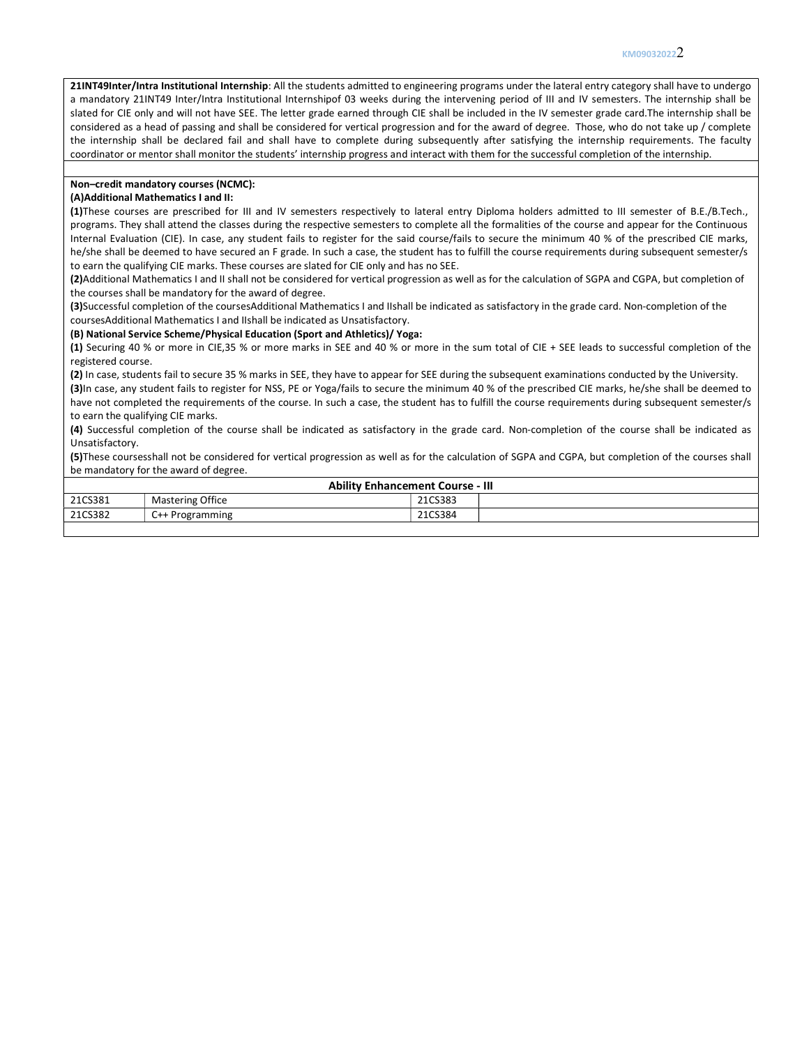21INT49Inter/Intra Institutional Internship: All the students admitted to engineering programs under the lateral entry category shall have to undergo a mandatory 21INT49 Inter/Intra Institutional Internshipof 03 weeks during the intervening period of III and IV semesters. The internship shall be slated for CIE only and will not have SEE. The letter grade earned through CIE shall be included in the IV semester grade card.The internship shall be considered as a head of passing and shall be considered for vertical progression and for the award of degree. Those, who do not take up / complete the internship shall be declared fail and shall have to complete during subsequently after satisfying the internship requirements. The faculty coordinator or mentor shall monitor the students' internship progress and interact with them for the successful completion of the internship.

## Non–credit mandatory courses (NCMC):

#### (A)Additional Mathematics I and II:

(1)These courses are prescribed for III and IV semesters respectively to lateral entry Diploma holders admitted to III semester of B.E./B.Tech., programs. They shall attend the classes during the respective semesters to complete all the formalities of the course and appear for the Continuous Internal Evaluation (CIE). In case, any student fails to register for the said course/fails to secure the minimum 40 % of the prescribed CIE marks, he/she shall be deemed to have secured an F grade. In such a case, the student has to fulfill the course requirements during subsequent semester/s to earn the qualifying CIE marks. These courses are slated for CIE only and has no SEE.

(2)Additional Mathematics I and II shall not be considered for vertical progression as well as for the calculation of SGPA and CGPA, but completion of the courses shall be mandatory for the award of degree.

(3)Successful completion of the coursesAdditional Mathematics I and IIshall be indicated as satisfactory in the grade card. Non-completion of the coursesAdditional Mathematics I and IIshall be indicated as Unsatisfactory.

#### (B) National Service Scheme/Physical Education (Sport and Athletics)/ Yoga:

(1) Securing 40 % or more in CIE,35 % or more marks in SEE and 40 % or more in the sum total of CIE + SEE leads to successful completion of the registered course.

(2) In case, students fail to secure 35 % marks in SEE, they have to appear for SEE during the subsequent examinations conducted by the University.

(3)In case, any student fails to register for NSS, PE or Yoga/fails to secure the minimum 40 % of the prescribed CIE marks, he/she shall be deemed to have not completed the requirements of the course. In such a case, the student has to fulfill the course requirements during subsequent semester/s to earn the qualifying CIE marks.

(4) Successful completion of the course shall be indicated as satisfactory in the grade card. Non-completion of the course shall be indicated as Unsatisfactory.

(5)These coursesshall not be considered for vertical progression as well as for the calculation of SGPA and CGPA, but completion of the courses shall be mandatory for the award of degree.

| <b>Ability Enhancement Course - III</b> |                         |         |  |  |  |  |  |
|-----------------------------------------|-------------------------|---------|--|--|--|--|--|
| 21CS381                                 | <b>Mastering Office</b> | 21CS383 |  |  |  |  |  |
| 21CS382                                 | C++ Programming         | 21CS384 |  |  |  |  |  |
|                                         |                         |         |  |  |  |  |  |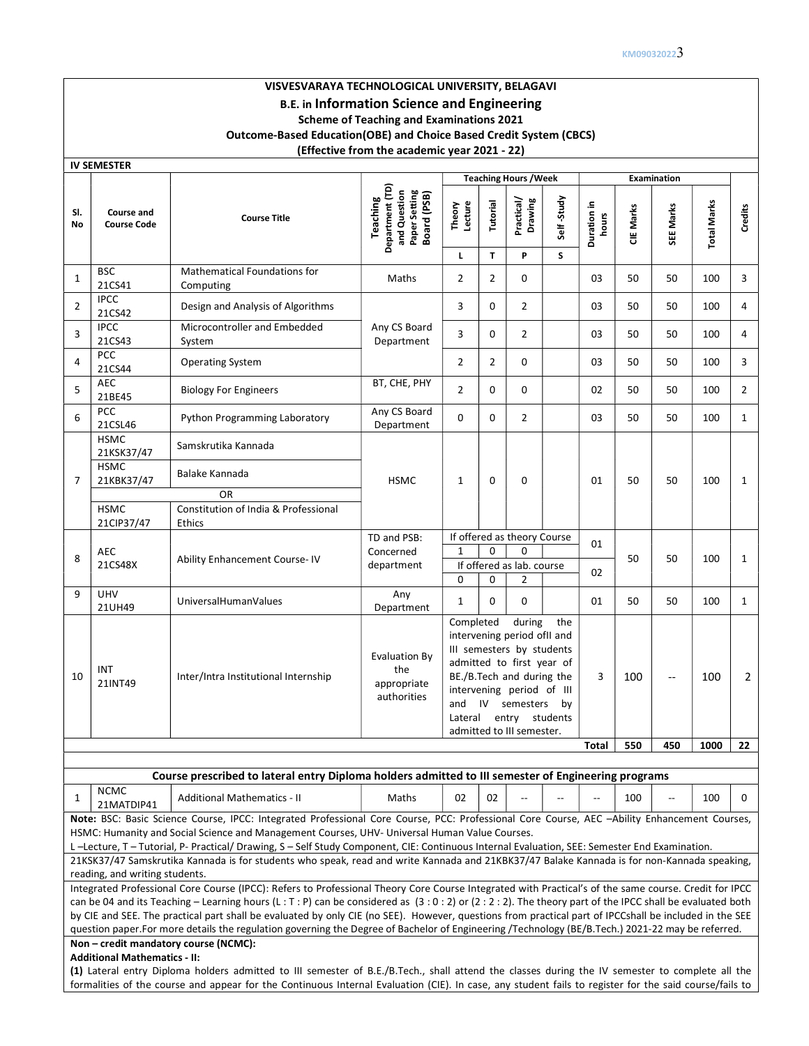# VISVESVARAYA TECHNOLOGICAL UNIVERSITY, BELAGAVI B.E. in Information Science and Engineering Scheme of Teaching and Examinations 2021 Outcome-Based Education(OBE) and Choice Based Credit System (CBCS) (Effective from the academic year 2021 - 22)

|                | <b>IV SEMESTER</b>                      |                                                                                                                                                                                                                                                                                                                                                                                                                                                                                                                                         |                                                                             |                             |                      |                                                                                                                                                                                                                          |            |                      |           |                          |                    |                |
|----------------|-----------------------------------------|-----------------------------------------------------------------------------------------------------------------------------------------------------------------------------------------------------------------------------------------------------------------------------------------------------------------------------------------------------------------------------------------------------------------------------------------------------------------------------------------------------------------------------------------|-----------------------------------------------------------------------------|-----------------------------|----------------------|--------------------------------------------------------------------------------------------------------------------------------------------------------------------------------------------------------------------------|------------|----------------------|-----------|--------------------------|--------------------|----------------|
|                |                                         |                                                                                                                                                                                                                                                                                                                                                                                                                                                                                                                                         |                                                                             |                             |                      | <b>Teaching Hours / Week</b>                                                                                                                                                                                             |            |                      |           | <b>Examination</b>       |                    |                |
| SI.<br>No      | <b>Course and</b><br><b>Course Code</b> | <b>Course Title</b>                                                                                                                                                                                                                                                                                                                                                                                                                                                                                                                     | Department (TD)<br>Paper Setting<br>Board (PSB)<br>and Question<br>Teaching | Lecture<br>Theory           | Tutorial             | Practical/<br>Drawing                                                                                                                                                                                                    | Self-Study | Duration in<br>hours | CIE Marks | SEE Marks                | <b>Total Marks</b> | <b>Credits</b> |
|                |                                         |                                                                                                                                                                                                                                                                                                                                                                                                                                                                                                                                         |                                                                             | L.                          | T.                   | P                                                                                                                                                                                                                        | S          |                      |           |                          |                    |                |
| 1              | <b>BSC</b><br>21CS41                    | Mathematical Foundations for<br>Computing                                                                                                                                                                                                                                                                                                                                                                                                                                                                                               | Maths                                                                       | $\overline{2}$              | 2                    | 0                                                                                                                                                                                                                        |            | 03                   | 50        | 50                       | 100                | 3              |
| 2              | <b>IPCC</b><br>21CS42                   | Design and Analysis of Algorithms                                                                                                                                                                                                                                                                                                                                                                                                                                                                                                       |                                                                             | 3                           | 0                    | $\overline{2}$                                                                                                                                                                                                           |            | 03                   | 50        | 50                       | 100                | 4              |
| 3              | <b>IPCC</b><br>21CS43                   | Microcontroller and Embedded<br>System                                                                                                                                                                                                                                                                                                                                                                                                                                                                                                  | Any CS Board<br>Department                                                  | 3                           | 0                    | $\overline{2}$                                                                                                                                                                                                           |            | 03                   | 50        | 50                       | 100                | 4              |
| $\overline{4}$ | PCC<br>21CS44                           | <b>Operating System</b>                                                                                                                                                                                                                                                                                                                                                                                                                                                                                                                 |                                                                             | $\overline{2}$              | $\overline{2}$       | $\Omega$                                                                                                                                                                                                                 |            | 03                   | 50        | 50                       | 100                | 3              |
| 5              | <b>AEC</b><br>21BE45                    | <b>Biology For Engineers</b>                                                                                                                                                                                                                                                                                                                                                                                                                                                                                                            | BT, CHE, PHY                                                                | $\overline{2}$              | $\Omega$             | 0                                                                                                                                                                                                                        |            | 02                   | 50        | 50                       | 100                | 2              |
| 6              | <b>PCC</b><br>21CSL46                   | Python Programming Laboratory                                                                                                                                                                                                                                                                                                                                                                                                                                                                                                           | Any CS Board<br>Department                                                  | $\Omega$                    | $\Omega$             | $\overline{2}$                                                                                                                                                                                                           |            | 03                   | 50        | 50                       | 100                | $\mathbf{1}$   |
|                | <b>HSMC</b><br>21KSK37/47               | Samskrutika Kannada                                                                                                                                                                                                                                                                                                                                                                                                                                                                                                                     |                                                                             | $\mathbf{1}$                |                      |                                                                                                                                                                                                                          |            | 01                   |           |                          |                    |                |
| 7              | <b>HSMC</b><br>21KBK37/47               | Balake Kannada                                                                                                                                                                                                                                                                                                                                                                                                                                                                                                                          | <b>HSMC</b>                                                                 |                             | $\mathbf 0$          | $\Omega$                                                                                                                                                                                                                 |            |                      | 50        | 50                       | 100                | $\mathbf{1}$   |
|                |                                         | <b>OR</b>                                                                                                                                                                                                                                                                                                                                                                                                                                                                                                                               |                                                                             |                             |                      |                                                                                                                                                                                                                          |            |                      |           |                          |                    |                |
|                | <b>HSMC</b><br>21CIP37/47               | Constitution of India & Professional<br><b>Ethics</b>                                                                                                                                                                                                                                                                                                                                                                                                                                                                                   |                                                                             |                             |                      |                                                                                                                                                                                                                          |            |                      |           |                          |                    |                |
|                |                                         |                                                                                                                                                                                                                                                                                                                                                                                                                                                                                                                                         | TD and PSB:                                                                 |                             |                      | If offered as theory Course                                                                                                                                                                                              |            | 01                   |           |                          |                    |                |
| 8              | AEC<br>21CS48X                          | Ability Enhancement Course-IV                                                                                                                                                                                                                                                                                                                                                                                                                                                                                                           | Concerned<br>department                                                     | $\mathbf{1}$<br>0           | $\Omega$<br>$\Omega$ | 0<br>If offered as lab. course<br>$\overline{2}$                                                                                                                                                                         |            | 02                   | 50        | 50                       | 100                | $\mathbf{1}$   |
| 9              | <b>UHV</b><br>21UH49                    | UniversalHumanValues                                                                                                                                                                                                                                                                                                                                                                                                                                                                                                                    | Any<br>Department                                                           | $\mathbf{1}$                | 0                    | $\Omega$                                                                                                                                                                                                                 |            | 01                   | 50        | 50                       | 100                | 1              |
| 10             | INT<br>21INT49                          | Inter/Intra Institutional Internship                                                                                                                                                                                                                                                                                                                                                                                                                                                                                                    | Evaluation By<br>the<br>appropriate<br>authorities                          | Completed<br>and<br>Lateral | IV                   | during<br>intervening period of I and<br>III semesters by students<br>admitted to first year of<br>BE./B.Tech and during the<br>intervening period of III<br>semesters by<br>entry students<br>admitted to III semester. | the        | 3                    | 100       | $\overline{\phantom{a}}$ | 100                | 2              |
|                |                                         |                                                                                                                                                                                                                                                                                                                                                                                                                                                                                                                                         |                                                                             |                             |                      |                                                                                                                                                                                                                          |            | Total                | 550       | 450                      | 1000               | 22             |
|                |                                         | Course prescribed to lateral entry Diploma holders admitted to III semester of Engineering programs                                                                                                                                                                                                                                                                                                                                                                                                                                     |                                                                             |                             |                      |                                                                                                                                                                                                                          |            |                      |           |                          |                    |                |
| 1              | <b>NCMC</b><br>21MATDIP41               | <b>Additional Mathematics - II</b>                                                                                                                                                                                                                                                                                                                                                                                                                                                                                                      | Maths                                                                       | 02                          | 02                   |                                                                                                                                                                                                                          |            |                      | 100       | $\overline{\phantom{a}}$ | 100                | $\Omega$       |
|                |                                         | Note: BSC: Basic Science Course, IPCC: Integrated Professional Core Course, PCC: Professional Core Course, AEC -Ability Enhancement Courses,<br>HSMC: Humanity and Social Science and Management Courses, UHV- Universal Human Value Courses.<br>L-Lecture, T-Tutorial, P-Practical/Drawing, S-Self Study Component, CIE: Continuous Internal Evaluation, SEE: Semester End Examination.<br>21KSK37/47 Samskrutika Kannada is for students who speak, read and write Kannada and 21KBK37/47 Balake Kannada is for non-Kannada speaking, |                                                                             |                             |                      |                                                                                                                                                                                                                          |            |                      |           |                          |                    |                |
|                | reading, and writing students.          | Integrated Professional Core Course (IPCC): Refers to Professional Theory Core Course Integrated with Practical's of the same course. Credit for IPCC                                                                                                                                                                                                                                                                                                                                                                                   |                                                                             |                             |                      |                                                                                                                                                                                                                          |            |                      |           |                          |                    |                |
|                |                                         | can be 04 and its Teaching - Learning hours (L:T:P) can be considered as $(3:0:2)$ or $(2:2:2)$ . The theory part of the IPCC shall be evaluated both<br>by CIE and SEE. The practical part shall be evaluated by only CIE (no SEE). However, questions from practical part of IPCCshall be included in the SEE<br>question paper.For more details the regulation governing the Degree of Bachelor of Engineering /Technology (BE/B.Tech.) 2021-22 may be referred.                                                                     |                                                                             |                             |                      |                                                                                                                                                                                                                          |            |                      |           |                          |                    |                |
|                | <b>Additional Mathematics - II:</b>     | Non - credit mandatory course (NCMC):                                                                                                                                                                                                                                                                                                                                                                                                                                                                                                   |                                                                             |                             |                      |                                                                                                                                                                                                                          |            |                      |           |                          |                    |                |
|                |                                         | (1) Lateral entry Diploma holders admitted to III semester of B.E./B.Tech., shall attend the classes during the IV semester to complete all the                                                                                                                                                                                                                                                                                                                                                                                         |                                                                             |                             |                      |                                                                                                                                                                                                                          |            |                      |           |                          |                    |                |
|                |                                         | formalities of the course and appear for the Continuous Internal Evaluation (CIE). In case, any student fails to register for the said course/fails to                                                                                                                                                                                                                                                                                                                                                                                  |                                                                             |                             |                      |                                                                                                                                                                                                                          |            |                      |           |                          |                    |                |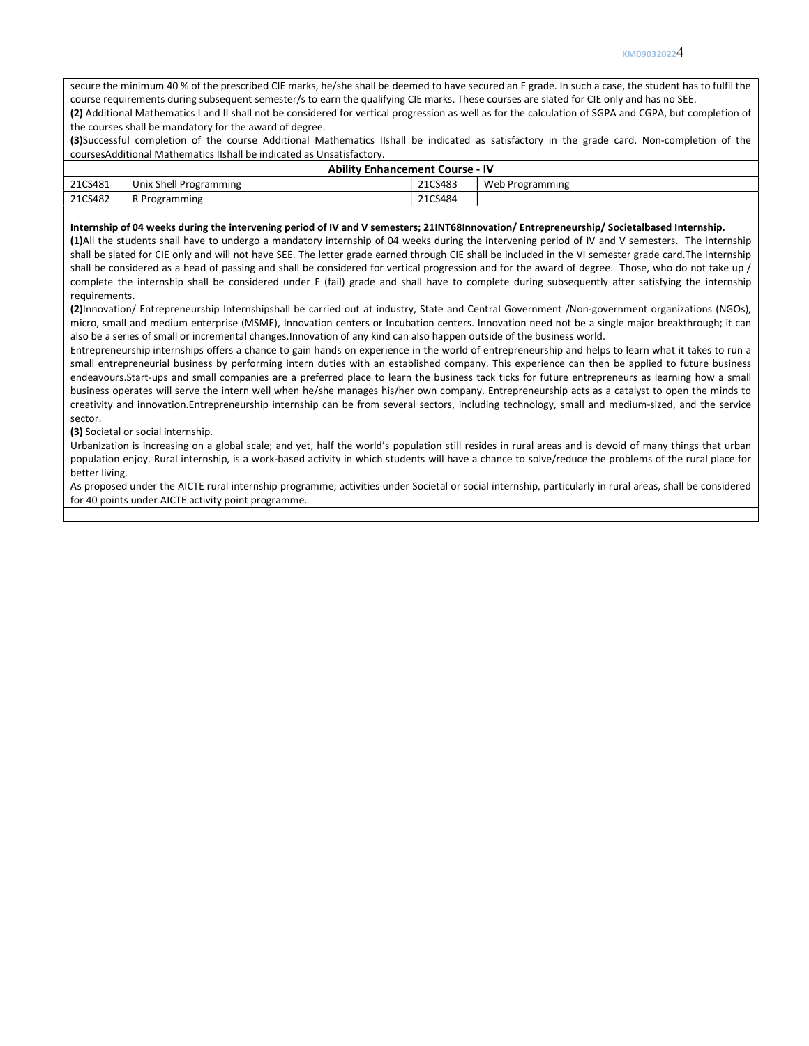#### KM090320224

secure the minimum 40 % of the prescribed CIE marks, he/she shall be deemed to have secured an F grade. In such a case, the student has to fulfil the course requirements during subsequent semester/s to earn the qualifying CIE marks. These courses are slated for CIE only and has no SEE. (2) Additional Mathematics I and II shall not be considered for vertical progression as well as for the calculation of SGPA and CGPA, but completion of

the courses shall be mandatory for the award of degree.

(3)Successful completion of the course Additional Mathematics IIshall be indicated as satisfactory in the grade card. Non-completion of the coursesAdditional Mathematics IIshall be indicated as Unsatisfactory.

|         | <b>Ability Enhancement Course - IV</b> |         |                 |  |  |  |  |  |  |  |
|---------|----------------------------------------|---------|-----------------|--|--|--|--|--|--|--|
| 21CS481 | Unix Shell Programming                 | 21CS483 | Web Programming |  |  |  |  |  |  |  |
| 21CS482 | R Programming                          | 21CS484 |                 |  |  |  |  |  |  |  |
|         |                                        |         |                 |  |  |  |  |  |  |  |

### Internship of 04 weeks during the intervening period of IV and V semesters; 21INT68Innovation/ Entrepreneurship/ Societalbased Internship.

(1)All the students shall have to undergo a mandatory internship of 04 weeks during the intervening period of IV and V semesters. The internship shall be slated for CIE only and will not have SEE. The letter grade earned through CIE shall be included in the VI semester grade card.The internship shall be considered as a head of passing and shall be considered for vertical progression and for the award of degree. Those, who do not take up / complete the internship shall be considered under F (fail) grade and shall have to complete during subsequently after satisfying the internship requirements.

(2)Innovation/ Entrepreneurship Internshipshall be carried out at industry, State and Central Government /Non-government organizations (NGOs), micro, small and medium enterprise (MSME), Innovation centers or Incubation centers. Innovation need not be a single major breakthrough; it can also be a series of small or incremental changes.Innovation of any kind can also happen outside of the business world.

Entrepreneurship internships offers a chance to gain hands on experience in the world of entrepreneurship and helps to learn what it takes to run a small entrepreneurial business by performing intern duties with an established company. This experience can then be applied to future business endeavours.Start-ups and small companies are a preferred place to learn the business tack ticks for future entrepreneurs as learning how a small business operates will serve the intern well when he/she manages his/her own company. Entrepreneurship acts as a catalyst to open the minds to creativity and innovation.Entrepreneurship internship can be from several sectors, including technology, small and medium-sized, and the service sector.

(3) Societal or social internship.

Urbanization is increasing on a global scale; and yet, half the world's population still resides in rural areas and is devoid of many things that urban population enjoy. Rural internship, is a work-based activity in which students will have a chance to solve/reduce the problems of the rural place for better living.

As proposed under the AICTE rural internship programme, activities under Societal or social internship, particularly in rural areas, shall be considered for 40 points under AICTE activity point programme.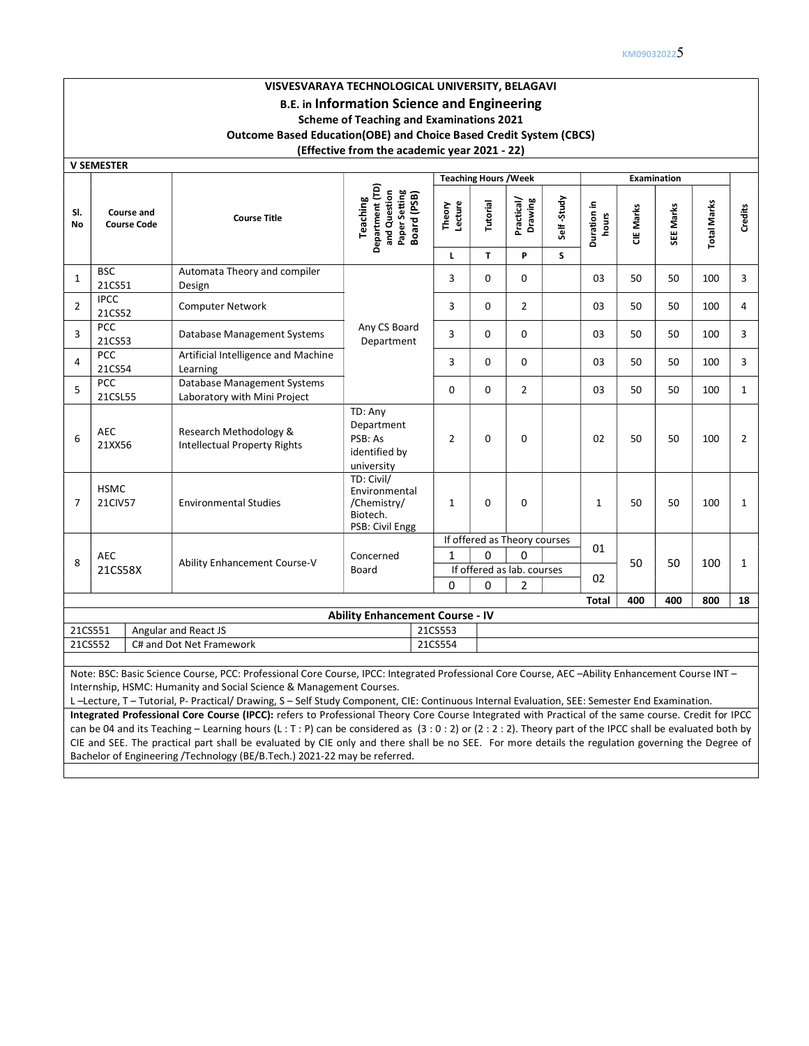# VISVESVARAYA TECHNOLOGICAL UNIVERSITY, BELAGAVI B.E. in Information Science and Engineering Scheme of Teaching and Examinations 2021 Outcome Based Education(OBE) and Choice Based Credit System (CBCS) (Effective from the academic year 2021 - 22)

V SEMESTER

|                |                                  |                                                               |                                                                             |                        | <b>Teaching Hours / Week</b> |                              |                 |                      |           | <b>Examination</b> |                    |                |
|----------------|----------------------------------|---------------------------------------------------------------|-----------------------------------------------------------------------------|------------------------|------------------------------|------------------------------|-----------------|----------------------|-----------|--------------------|--------------------|----------------|
| SI.<br>No      | Course and<br><b>Course Code</b> | <b>Course Title</b>                                           | Department (TD)<br>and Question<br>Paper Setting<br>Board (PSB)<br>Teaching | Theory<br>Lecture<br>L | Tutorial<br>$\mathbf{T}$     | Practical/<br>Drawing<br>P   | Self-Study<br>S | Duration in<br>hours | CIE Marks | SEE Marks          | <b>Total Marks</b> | Credits        |
| $\mathbf{1}$   | <b>BSC</b>                       | Automata Theory and compiler                                  |                                                                             | 3                      | $\Omega$                     | 0                            |                 | 03                   | 50        | 50                 | 100                | 3              |
|                | 21CS51                           | Design                                                        |                                                                             |                        |                              |                              |                 |                      |           |                    |                    |                |
|                | <b>IPCC</b><br>21CS52            | <b>Computer Network</b>                                       |                                                                             | 3                      | $\Omega$                     | $\overline{2}$               |                 | 03                   | 50        | 50                 | 100                | 4              |
|                | PCC<br>21CS53                    | Database Management Systems                                   | Any CS Board<br>Department                                                  | $\overline{3}$         | $\Omega$                     | $\mathbf 0$                  |                 | 03                   | 50        | 50                 | 100                | 3              |
| $\overline{4}$ | <b>PCC</b><br>21CS54             | Artificial Intelligence and Machine<br>Learning               |                                                                             | 3                      | $\Omega$                     | 0                            |                 | 03                   | 50        | 50                 | 100                | 3              |
| 5              | PCC<br>21CSL55                   | Database Management Systems<br>Laboratory with Mini Project   |                                                                             | $\Omega$               | 0                            | $\overline{2}$               |                 | 03                   | 50        | 50                 | 100                | $\mathbf{1}$   |
| 6              | AEC<br>21XX56                    | Research Methodology &<br><b>Intellectual Property Rights</b> | TD: Any<br>Department<br>PSB: As<br>identified by<br>university             | $\overline{2}$         | $\mathbf 0$                  | $\mathbf 0$                  |                 | 02                   | 50        | 50                 | 100                | $\overline{2}$ |
|                | <b>HSMC</b><br>21CIV57           | <b>Environmental Studies</b>                                  | TD: Civil/<br>Environmental<br>/Chemistry/<br>Biotech.<br>PSB: Civil Engg   | $\mathbf{1}$           | 0                            | $\mathbf 0$                  |                 | $\mathbf{1}$         | 50        | 50                 | 100                | $\mathbf{1}$   |
|                |                                  |                                                               |                                                                             |                        |                              | If offered as Theory courses |                 |                      |           |                    |                    |                |
|                | AEC                              |                                                               | Concerned                                                                   | $\mathbf{1}$           | $\Omega$                     | $\Omega$                     |                 | 01                   |           |                    |                    |                |
|                | 21CS58X                          | Ability Enhancement Course-V                                  | Board                                                                       |                        |                              | If offered as lab. courses   |                 |                      | 50        | 50                 | 100                | $\mathbf{1}$   |
|                |                                  |                                                               |                                                                             | $\Omega$               | 0                            | 2                            |                 | 02                   |           |                    |                    |                |
|                |                                  |                                                               |                                                                             |                        |                              |                              |                 | <b>Total</b>         | 400       | 400                | 800                | 18             |
|                |                                  |                                                               | <b>Ability Enhancement Course - IV</b>                                      |                        |                              |                              |                 |                      |           |                    |                    |                |
|                | 21CS551                          | Angular and React JS                                          |                                                                             | 21CS553                |                              |                              |                 |                      |           |                    |                    |                |
|                | 21CS552                          | C# and Dot Net Framework                                      |                                                                             | 21CS554                |                              |                              |                 |                      |           |                    |                    |                |

Note: BSC: Basic Science Course, PCC: Professional Core Course, IPCC: Integrated Professional Core Course, AEC –Ability Enhancement Course INT – Internship, HSMC: Humanity and Social Science & Management Courses.

L –Lecture, T – Tutorial, P- Practical/ Drawing, S – Self Study Component, CIE: Continuous Internal Evaluation, SEE: Semester End Examination.

Integrated Professional Core Course (IPCC): refers to Professional Theory Core Course Integrated with Practical of the same course. Credit for IPCC can be 04 and its Teaching – Learning hours (L: T: P) can be considered as  $(3:0:2)$  or  $(2:2:2)$ . Theory part of the IPCC shall be evaluated both by CIE and SEE. The practical part shall be evaluated by CIE only and there shall be no SEE. For more details the regulation governing the Degree of Bachelor of Engineering /Technology (BE/B.Tech.) 2021-22 may be referred.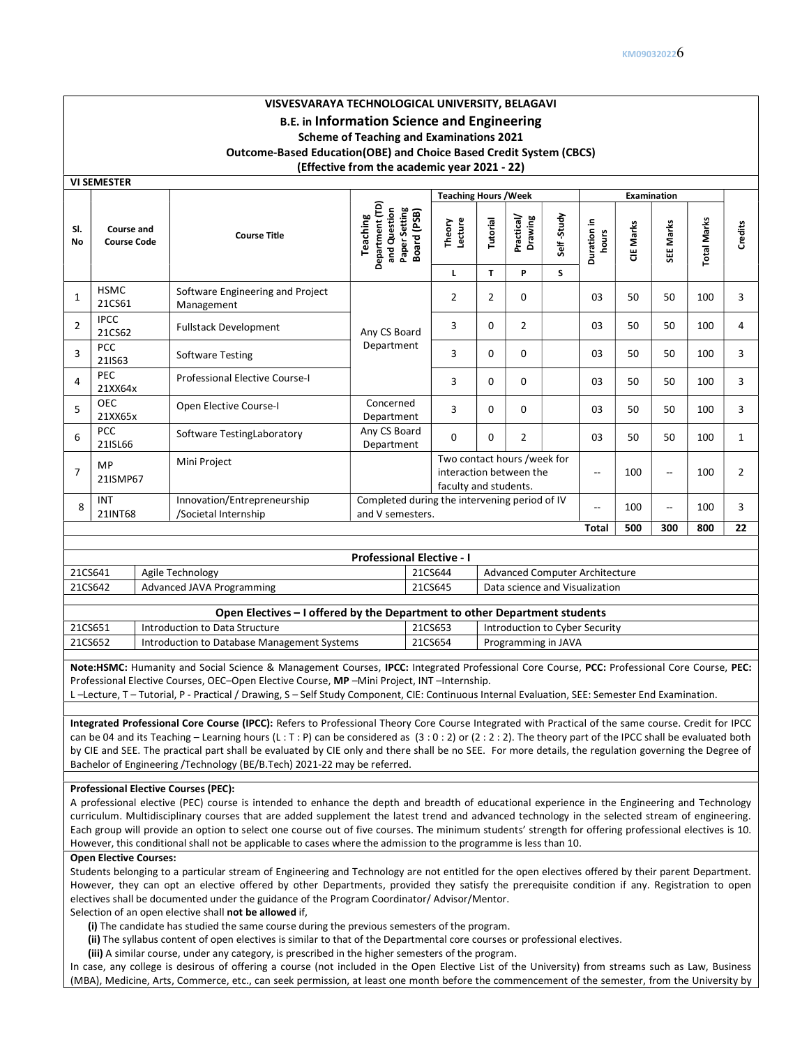## VISVESVARAYA TECHNOLOGICAL UNIVERSITY, BELAGAVI B.E. in Information Science and Engineering Scheme of Teaching and Examinations 2021 Outcome-Based Education(OBE) and Choice Based Credit System (CBCS) (Effective from the academic year 2021 - 22)

VI SEMESTER

|                                         |                                  |                                                     |                                                                             | <b>Teaching Hours / Week</b>                                                    |                |                       |            |                                |           | <b>Examination</b>       |                    |                |
|-----------------------------------------|----------------------------------|-----------------------------------------------------|-----------------------------------------------------------------------------|---------------------------------------------------------------------------------|----------------|-----------------------|------------|--------------------------------|-----------|--------------------------|--------------------|----------------|
| SI.<br><b>No</b>                        | Course and<br><b>Course Code</b> | <b>Course Title</b>                                 | Department (TD)<br>and Question<br>Paper Setting<br>Board (PSB)<br>Teaching | Theory<br>Lecture                                                               | Tutorial       | Practical/<br>Drawing | Self-Study | Duration in<br>hours           | CIE Marks | SEE Marks                | <b>Total Marks</b> | Credits        |
|                                         |                                  |                                                     |                                                                             | L                                                                               | $\mathbf{T}$   | P                     | S          |                                |           |                          |                    |                |
| $\mathbf 1$                             | <b>HSMC</b><br>21CS61            | Software Engineering and Project<br>Management      |                                                                             | $\overline{2}$                                                                  | $\overline{2}$ | 0                     |            | 03                             | 50        | 50                       | 100                | 3              |
| $\overline{2}$                          | <b>IPCC</b><br>21CS62            | <b>Fullstack Development</b>                        | Any CS Board                                                                | 3                                                                               | $\mathbf 0$    | $\overline{2}$        |            | 03                             | 50        | 50                       | 100                | 4              |
| $\overline{3}$                          | PCC<br>21IS63                    | <b>Software Testing</b>                             | Department                                                                  | 3                                                                               | $\mathbf 0$    | $\mathbf 0$           |            | 03                             | 50        | 50                       | 100                | 3              |
| $\overline{4}$                          | PEC<br>21XX64x                   | <b>Professional Elective Course-I</b>               |                                                                             | 3                                                                               | $\Omega$       | 0                     |            | 03                             | 50        | 50                       | 100                | 3              |
| 5                                       | <b>OEC</b><br>21XX65x            | Open Elective Course-I                              | Concerned<br>Department                                                     | $\overline{3}$                                                                  | $\mathbf 0$    | 0                     |            | 03                             | 50        | 50                       | 100                | 3              |
| 6                                       | <b>PCC</b><br>21ISL66            | Software TestingLaboratory                          | Any CS Board<br>Department                                                  | $\Omega$                                                                        | $\Omega$       | $\overline{2}$        |            | 03                             | 50        | 50                       | 100                | $\mathbf{1}$   |
| $\overline{7}$                          | MP<br>21ISMP67                   | Mini Project                                        |                                                                             | Two contact hours /week for<br>interaction between the<br>faculty and students. |                |                       |            | $\overline{\phantom{a}}$       | 100       | $\overline{\phantom{a}}$ | 100                | $\overline{2}$ |
| 8                                       | <b>INT</b><br>21INT68            | Innovation/Entrepreneurship<br>/Societal Internship | Completed during the intervening period of IV<br>and V semesters.           |                                                                                 |                |                       |            | $\overline{\phantom{a}}$       | 100       | $\hspace{0.05cm} \ldots$ | 100                | 3              |
| 500<br><b>Total</b><br>300<br>800<br>22 |                                  |                                                     |                                                                             |                                                                                 |                |                       |            |                                |           |                          |                    |                |
|                                         |                                  |                                                     | <b>Professional Elective - I</b>                                            |                                                                                 |                |                       |            |                                |           |                          |                    |                |
|                                         | 21CS641                          | Agile Technology                                    |                                                                             | 21CS644                                                                         |                |                       |            | Advanced Computer Architecture |           |                          |                    |                |
|                                         | 21CS642                          | Advanced JAVA Programming                           |                                                                             | 21CS645                                                                         |                |                       |            | Data science and Visualization |           |                          |                    |                |

| Open Electives – I offered by the Department to other Department students |                                             |         |                                |  |  |  |  |  |  |
|---------------------------------------------------------------------------|---------------------------------------------|---------|--------------------------------|--|--|--|--|--|--|
| 21CS651                                                                   | Introduction to Data Structure              | 21CS653 | Introduction to Cyber Security |  |  |  |  |  |  |
| 21CS652                                                                   | Introduction to Database Management Systems | 21CS654 | Programming in JAVA            |  |  |  |  |  |  |

Note:HSMC: Humanity and Social Science & Management Courses, IPCC: Integrated Professional Core Course, PCC: Professional Core Course, PEC: Professional Elective Courses, OEC–Open Elective Course, MP –Mini Project, INT –Internship.

L –Lecture, T – Tutorial, P - Practical / Drawing, S – Self Study Component, CIE: Continuous Internal Evaluation, SEE: Semester End Examination.

Integrated Professional Core Course (IPCC): Refers to Professional Theory Core Course Integrated with Practical of the same course. Credit for IPCC can be 04 and its Teaching - Learning hours (L: T: P) can be considered as  $(3:0:2)$  or  $(2:2:2)$ . The theory part of the IPCC shall be evaluated both by CIE and SEE. The practical part shall be evaluated by CIE only and there shall be no SEE. For more details, the regulation governing the Degree of Bachelor of Engineering /Technology (BE/B.Tech) 2021-22 may be referred.

#### Professional Elective Courses (PEC):

A professional elective (PEC) course is intended to enhance the depth and breadth of educational experience in the Engineering and Technology curriculum. Multidisciplinary courses that are added supplement the latest trend and advanced technology in the selected stream of engineering. Each group will provide an option to select one course out of five courses. The minimum students' strength for offering professional electives is 10. However, this conditional shall not be applicable to cases where the admission to the programme is less than 10.

### Open Elective Courses:

Students belonging to a particular stream of Engineering and Technology are not entitled for the open electives offered by their parent Department. However, they can opt an elective offered by other Departments, provided they satisfy the prerequisite condition if any. Registration to open electives shall be documented under the guidance of the Program Coordinator/ Advisor/Mentor.

### Selection of an open elective shall not be allowed if,

- (i) The candidate has studied the same course during the previous semesters of the program.
- (ii) The syllabus content of open electives is similar to that of the Departmental core courses or professional electives.
- (iii) A similar course, under any category, is prescribed in the higher semesters of the program.

In case, any college is desirous of offering a course (not included in the Open Elective List of the University) from streams such as Law, Business (MBA), Medicine, Arts, Commerce, etc., can seek permission, at least one month before the commencement of the semester, from the University by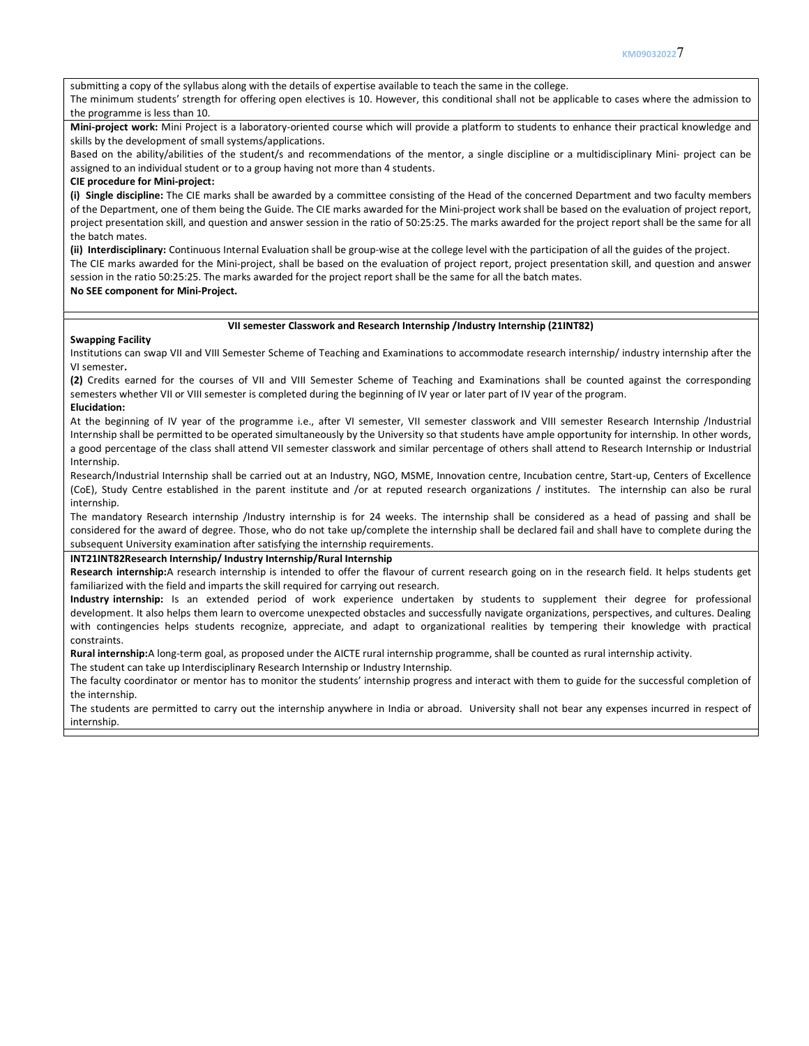submitting a copy of the syllabus along with the details of expertise available to teach the same in the college.

The minimum students' strength for offering open electives is 10. However, this conditional shall not be applicable to cases where the admission to the programme is less than 10.

Mini-project work: Mini Project is a laboratory-oriented course which will provide a platform to students to enhance their practical knowledge and skills by the development of small systems/applications.

Based on the ability/abilities of the student/s and recommendations of the mentor, a single discipline or a multidisciplinary Mini- project can be assigned to an individual student or to a group having not more than 4 students.

## CIE procedure for Mini-project:

(i) Single discipline: The CIE marks shall be awarded by a committee consisting of the Head of the concerned Department and two faculty members of the Department, one of them being the Guide. The CIE marks awarded for the Mini-project work shall be based on the evaluation of project report, project presentation skill, and question and answer session in the ratio of 50:25:25. The marks awarded for the project report shall be the same for all the batch mates.

(ii) Interdisciplinary: Continuous Internal Evaluation shall be group-wise at the college level with the participation of all the guides of the project. The CIE marks awarded for the Mini-project, shall be based on the evaluation of project report, project presentation skill, and question and answer session in the ratio 50:25:25. The marks awarded for the project report shall be the same for all the batch mates. No SEE component for Mini-Project.

### VII semester Classwork and Research Internship /Industry Internship (21INT82)

#### Swapping Facility

Institutions can swap VII and VIII Semester Scheme of Teaching and Examinations to accommodate research internship/ industry internship after the VI semester.

(2) Credits earned for the courses of VII and VIII Semester Scheme of Teaching and Examinations shall be counted against the corresponding semesters whether VII or VIII semester is completed during the beginning of IV year or later part of IV year of the program. Elucidation:

## At the beginning of IV year of the programme i.e., after VI semester, VII semester classwork and VIII semester Research Internship /Industrial Internship shall be permitted to be operated simultaneously by the University so that students have ample opportunity for internship. In other words, a good percentage of the class shall attend VII semester classwork and similar percentage of others shall attend to Research Internship or Industrial Internship.

Research/Industrial Internship shall be carried out at an Industry, NGO, MSME, Innovation centre, Incubation centre, Start-up, Centers of Excellence (CoE), Study Centre established in the parent institute and /or at reputed research organizations / institutes. The internship can also be rural internship.

The mandatory Research internship /Industry internship is for 24 weeks. The internship shall be considered as a head of passing and shall be considered for the award of degree. Those, who do not take up/complete the internship shall be declared fail and shall have to complete during the subsequent University examination after satisfying the internship requirements.

### INT21INT82Research Internship/ Industry Internship/Rural Internship

Research internship:A research internship is intended to offer the flavour of current research going on in the research field. It helps students get familiarized with the field and imparts the skill required for carrying out research.

Industry internship: Is an extended period of work experience undertaken by students to supplement their degree for professional development. It also helps them learn to overcome unexpected obstacles and successfully navigate organizations, perspectives, and cultures. Dealing with contingencies helps students recognize, appreciate, and adapt to organizational realities by tempering their knowledge with practical constraints.

Rural internship:A long-term goal, as proposed under the AICTE rural internship programme, shall be counted as rural internship activity.

The student can take up Interdisciplinary Research Internship or Industry Internship.

The faculty coordinator or mentor has to monitor the students' internship progress and interact with them to guide for the successful completion of the internship.

The students are permitted to carry out the internship anywhere in India or abroad. University shall not bear any expenses incurred in respect of internship.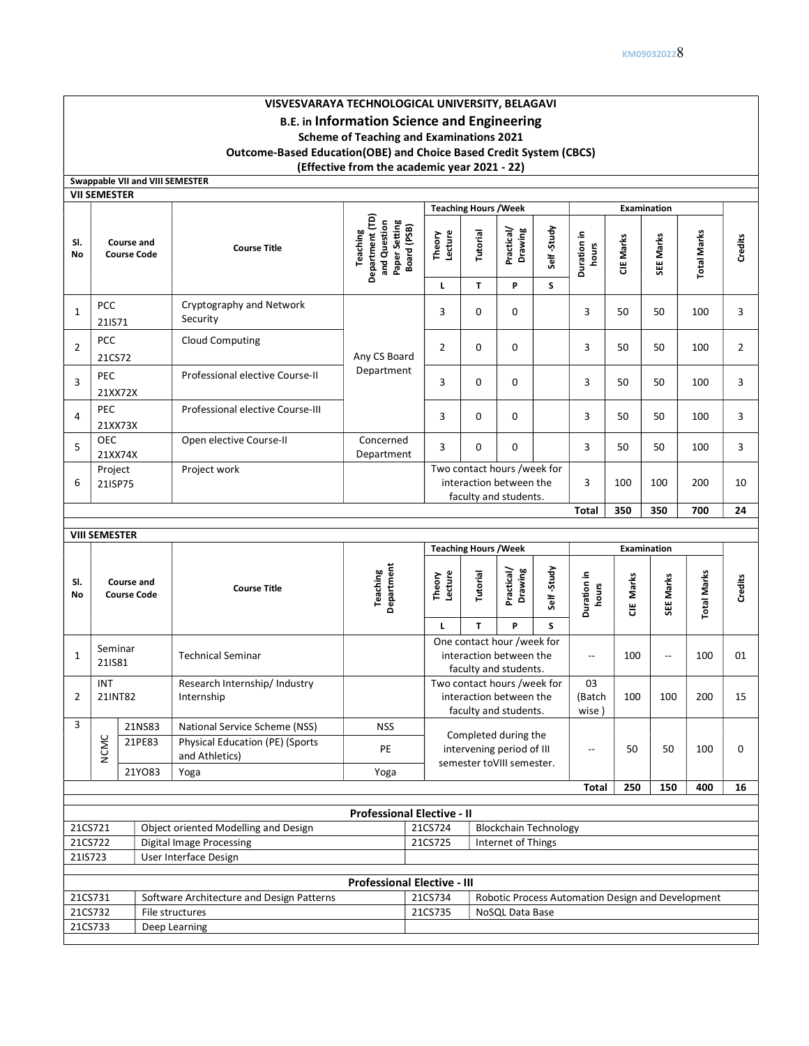# VISVESVARAYA TECHNOLOGICAL UNIVERSITY, BELAGAVI B.E. in Information Science and Engineering Scheme of Teaching and Examinations 2021 Outcome-Based Education(OBE) and Choice Based Credit System (CBCS) (Effective from the academic year 2021 - 22)

Swappable VII and VIII SEMESTER

|                | <b>VII SEMESTER</b>              |        |                                                          |                                                                                    |                                                                                 |               |                                                                                 |                  |                          |                  |                          |                    |                |  |
|----------------|----------------------------------|--------|----------------------------------------------------------|------------------------------------------------------------------------------------|---------------------------------------------------------------------------------|---------------|---------------------------------------------------------------------------------|------------------|--------------------------|------------------|--------------------------|--------------------|----------------|--|
|                |                                  |        |                                                          |                                                                                    | <b>Teaching Hours / Week</b>                                                    |               |                                                                                 |                  | Examination              |                  |                          |                    |                |  |
| SI.<br>No      | Course and<br><b>Course Code</b> |        | <b>Course Title</b>                                      | Department (TD)<br>Paper Setting<br>Board (PSB)<br>and Question<br><b>Teaching</b> | Theory<br>Lecture<br>L                                                          | Tutorial<br>T | Practical/<br>Drawing<br>P                                                      | Self-Study<br>s  | Duration in<br>hours     | <b>CIE Marks</b> | SEE Marks                | <b>Total Marks</b> | Credits        |  |
|                | <b>PCC</b>                       |        | Cryptography and Network                                 |                                                                                    |                                                                                 |               |                                                                                 |                  |                          |                  |                          |                    |                |  |
| $\mathbf{1}$   | 21IS71                           |        | Security                                                 |                                                                                    | $\overline{3}$                                                                  | 0             | 0                                                                               |                  | 3                        | 50               | 50                       | 100                | 3              |  |
| $\overline{2}$ | <b>PCC</b><br>21CS72             |        | <b>Cloud Computing</b>                                   | Any CS Board                                                                       | $\overline{2}$                                                                  | 0             | 0                                                                               |                  | 3                        | 50               | 50                       | 100                | $\overline{2}$ |  |
| 3              | PEC<br>21XX72X                   |        | Professional elective Course-II                          | Department                                                                         | 3                                                                               | $\mathbf 0$   | 0                                                                               |                  | 3                        | 50               | 50                       | 100                | $\overline{3}$ |  |
| 4              | PEC<br>21XX73X                   |        | Professional elective Course-III                         |                                                                                    | 3                                                                               | $\Omega$      | 0                                                                               |                  | 3                        | 50               | 50                       | 100                | 3              |  |
| 5              | <b>OEC</b><br>21XX74X            |        | Open elective Course-II                                  | Concerned<br>Department                                                            | 3                                                                               | 0             | 0                                                                               |                  | 3                        | 50               | 50                       | 100                | $\overline{3}$ |  |
| 6              | Project<br>21ISP75               |        | Project work                                             |                                                                                    | Two contact hours /week for<br>interaction between the<br>faculty and students. |               |                                                                                 |                  | 3                        | 100              | 100                      | 200                | 10             |  |
|                |                                  |        |                                                          |                                                                                    |                                                                                 |               |                                                                                 |                  | <b>Total</b>             | 350              | 350                      | 700                | 24             |  |
|                | <b>VIII SEMESTER</b>             |        |                                                          |                                                                                    |                                                                                 |               |                                                                                 |                  |                          |                  |                          |                    |                |  |
|                |                                  |        |                                                          |                                                                                    | <b>Teaching Hours / Week</b>                                                    |               |                                                                                 |                  |                          |                  | <b>Examination</b>       |                    |                |  |
|                | Course and<br><b>Course Code</b> |        |                                                          |                                                                                    |                                                                                 |               |                                                                                 |                  |                          |                  |                          |                    |                |  |
| SI.<br>No      |                                  |        | <b>Course Title</b>                                      | Department<br>Teaching                                                             | Theory<br>Lecture<br>L                                                          | Tutorial<br>T | Practical/<br>Drawing<br>P                                                      | Self-Study<br>S. | Duration in<br>hours     | Marks<br>٣       | SEE Marks                | <b>Total Marks</b> | Credits        |  |
| $\mathbf{1}$   | Seminar<br>21IS81                |        | <b>Technical Seminar</b>                                 |                                                                                    |                                                                                 |               | One contact hour /week for<br>interaction between the<br>faculty and students.  |                  | $\overline{\phantom{a}}$ | 100              | $\overline{\phantom{a}}$ | 100                | 01             |  |
| $\overline{2}$ | INT<br>21INT82                   |        | Research Internship/ Industry<br>Internship              |                                                                                    |                                                                                 |               | Two contact hours /week for<br>interaction between the<br>faculty and students. |                  | 03<br>(Batch<br>wise)    | 100              | 100                      | 200                | 15             |  |
| 3              |                                  | 21NS83 | National Service Scheme (NSS)                            | <b>NSS</b>                                                                         |                                                                                 |               |                                                                                 |                  |                          |                  |                          |                    |                |  |
|                | <b>NCMC</b>                      | 21PE83 | <b>Physical Education (PE) (Sports</b><br>and Athletics) | PE                                                                                 |                                                                                 |               | Completed during the<br>intervening period of III                               |                  | $\overline{\phantom{a}}$ | 50               | 50                       | 100                | $\pmb{0}$      |  |
|                |                                  | 21YO83 | Yoga                                                     | Yoga                                                                               |                                                                                 |               | semester toVIII semester.                                                       |                  | Total                    | 250              | 150                      | 400                | 16             |  |
|                |                                  |        |                                                          |                                                                                    |                                                                                 |               |                                                                                 |                  |                          |                  |                          |                    |                |  |
|                |                                  |        |                                                          | <b>Professional Elective - II</b>                                                  |                                                                                 |               |                                                                                 |                  |                          |                  |                          |                    |                |  |
| 21CS721        |                                  |        | Object oriented Modelling and Design                     |                                                                                    | 21CS724                                                                         |               | <b>Blockchain Technology</b>                                                    |                  |                          |                  |                          |                    |                |  |
| 21CS722        |                                  |        | <b>Digital Image Processing</b>                          |                                                                                    | 21CS725                                                                         |               | Internet of Things                                                              |                  |                          |                  |                          |                    |                |  |
| 21IS723        |                                  |        | User Interface Design                                    |                                                                                    |                                                                                 |               |                                                                                 |                  |                          |                  |                          |                    |                |  |

| <b>Professional Elective - III</b> |                                           |         |                                                   |  |  |  |  |  |
|------------------------------------|-------------------------------------------|---------|---------------------------------------------------|--|--|--|--|--|
| 21CS731                            | Software Architecture and Design Patterns | 21CS734 | Robotic Process Automation Design and Development |  |  |  |  |  |
| 21CS732                            | File structures                           | 21CS735 | NoSQL Data Base                                   |  |  |  |  |  |
| 21CS733                            | Deep Learning                             |         |                                                   |  |  |  |  |  |
|                                    |                                           |         |                                                   |  |  |  |  |  |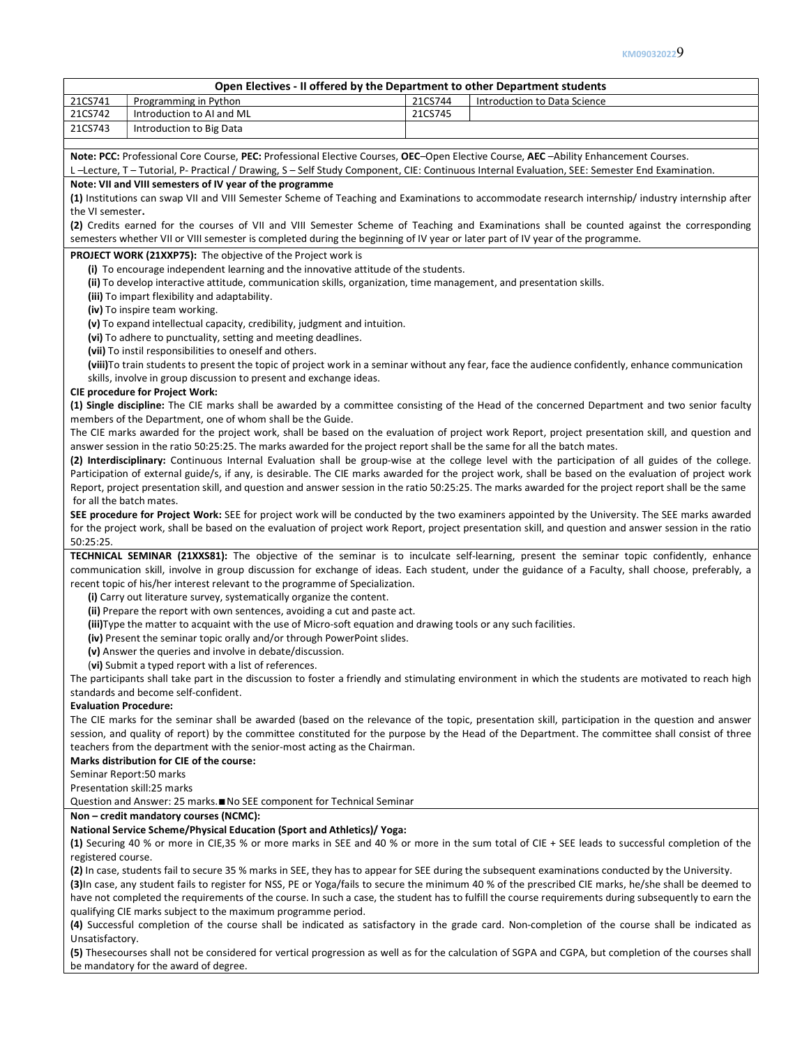## Open Electives - II offered by the Department to other Department students 21CS741 Programming in Python 21CS744 Introduction to Data Science 21CS742 | Introduction to AI and ML 21CS745 21CS743 | Introduction to Big Data Note: PCC: Professional Core Course, PEC: Professional Elective Courses, OEC-Open Elective Course, AEC -Ability Enhancement Courses. L –Lecture, T – Tutorial, P- Practical / Drawing, S – Self Study Component, CIE: Continuous Internal Evaluation, SEE: Semester End Examination. Note: VII and VIII semesters of IV year of the programme (1) Institutions can swap VII and VIII Semester Scheme of Teaching and Examinations to accommodate research internship/ industry internship after the VI semester. (2) Credits earned for the courses of VII and VIII Semester Scheme of Teaching and Examinations shall be counted against the corresponding semesters whether VII or VIII semester is completed during the beginning of IV year or later part of IV year of the programme. PROJECT WORK (21XXP75): The objective of the Project work is (i) To encourage independent learning and the innovative attitude of the students. (ii) To develop interactive attitude, communication skills, organization, time management, and presentation skills. (iii) To impart flexibility and adaptability. (iv) To inspire team working. (v) To expand intellectual capacity, credibility, judgment and intuition. (vi) To adhere to punctuality, setting and meeting deadlines. (vii) To instil responsibilities to oneself and others. (viii)To train students to present the topic of project work in a seminar without any fear, face the audience confidently, enhance communication skills, involve in group discussion to present and exchange ideas. CIE procedure for Project Work: (1) Single discipline: The CIE marks shall be awarded by a committee consisting of the Head of the concerned Department and two senior faculty members of the Department, one of whom shall be the Guide. The CIE marks awarded for the project work, shall be based on the evaluation of project work Report, project presentation skill, and question and answer session in the ratio 50:25:25. The marks awarded for the project report shall be the same for all the batch mates. (2) Interdisciplinary: Continuous Internal Evaluation shall be group-wise at the college level with the participation of all guides of the college. Participation of external guide/s, if any, is desirable. The CIE marks awarded for the project work, shall be based on the evaluation of project work Report, project presentation skill, and question and answer session in the ratio 50:25:25. The marks awarded for the project report shall be the same for all the batch mates. SEE procedure for Project Work: SEE for project work will be conducted by the two examiners appointed by the University. The SEE marks awarded for the project work, shall be based on the evaluation of project work Report, project presentation skill, and question and answer session in the ratio 50:25:25. TECHNICAL SEMINAR (21XXS81): The objective of the seminar is to inculcate self-learning, present the seminar topic confidently, enhance communication skill, involve in group discussion for exchange of ideas. Each student, under the guidance of a Faculty, shall choose, preferably, a recent topic of his/her interest relevant to the programme of Specialization. (i) Carry out literature survey, systematically organize the content. (ii) Prepare the report with own sentences, avoiding a cut and paste act. (iii)Type the matter to acquaint with the use of Micro-soft equation and drawing tools or any such facilities. (iv) Present the seminar topic orally and/or through PowerPoint slides. (v) Answer the queries and involve in debate/discussion. (vi) Submit a typed report with a list of references. The participants shall take part in the discussion to foster a friendly and stimulating environment in which the students are motivated to reach high standards and become self-confident. Evaluation Procedure: The CIE marks for the seminar shall be awarded (based on the relevance of the topic, presentation skill, participation in the question and answer session, and quality of report) by the committee constituted for the purpose by the Head of the Department. The committee shall consist of three teachers from the department with the senior-most acting as the Chairman. Marks distribution for CIE of the course: Seminar Report:50 marks Presentation skill:25 marks Question and Answer: 25 marks.∎No SEE component for Technical Seminar Non – credit mandatory courses (NCMC): National Service Scheme/Physical Education (Sport and Athletics)/ Yoga: (1) Securing 40 % or more in CIE,35 % or more marks in SEE and 40 % or more in the sum total of CIE + SEE leads to successful completion of the registered course.

(2) In case, students fail to secure 35 % marks in SEE, they has to appear for SEE during the subsequent examinations conducted by the University. (3)In case, any student fails to register for NSS, PE or Yoga/fails to secure the minimum 40 % of the prescribed CIE marks, he/she shall be deemed to have not completed the requirements of the course. In such a case, the student has to fulfill the course requirements during subsequently to earn the qualifying CIE marks subject to the maximum programme period.

(4) Successful completion of the course shall be indicated as satisfactory in the grade card. Non-completion of the course shall be indicated as Unsatisfactory.

(5) Thesecourses shall not be considered for vertical progression as well as for the calculation of SGPA and CGPA, but completion of the courses shall be mandatory for the award of degree.